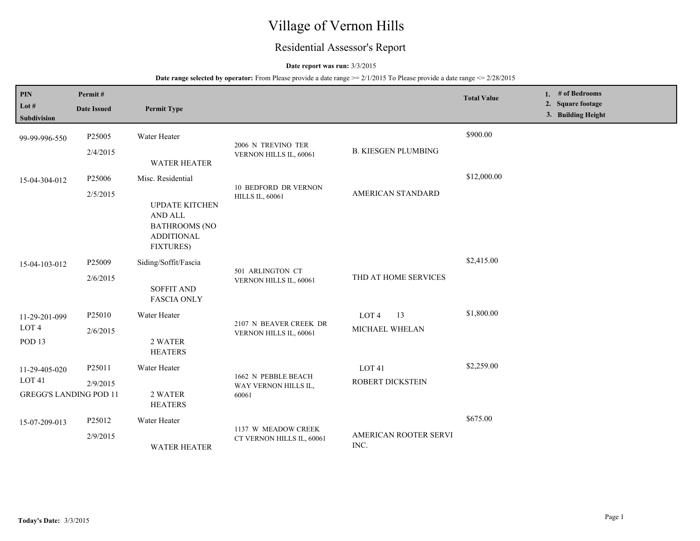# Village of Vernon Hills

## Residential Assessor's Report

#### **Date report was run:** 3/3/2015

#### **Date range selected by operator:** From Please provide a date range  $\ge 2/1/2015$  To Please provide a date range  $\le 2/28/2015$

| <b>PIN</b><br>Lot $#$<br><b>Subdivision</b>                         | Permit#<br><b>Date Issued</b>  | <b>Permit Type</b>                                                                                                     |                                                       |                                          | <b>Total Value</b> | 1. # of Bedrooms<br>2. Square footage<br>3. Building Height |
|---------------------------------------------------------------------|--------------------------------|------------------------------------------------------------------------------------------------------------------------|-------------------------------------------------------|------------------------------------------|--------------------|-------------------------------------------------------------|
| 99-99-996-550                                                       | P <sub>25005</sub><br>2/4/2015 | Water Heater<br><b>WATER HEATER</b>                                                                                    | 2006 N TREVINO TER<br>VERNON HILLS IL, 60061          | <b>B. KIESGEN PLUMBING</b>               | \$900.00           |                                                             |
| 15-04-304-012                                                       | P25006<br>2/5/2015             | Misc. Residential<br><b>UPDATE KITCHEN</b><br>AND ALL<br><b>BATHROOMS (NO</b><br><b>ADDITIONAL</b><br><b>FIXTURES)</b> | <b>10 BEDFORD DR VERNON</b><br><b>HILLS IL, 60061</b> | AMERICAN STANDARD                        | \$12,000.00        |                                                             |
| 15-04-103-012                                                       | P25009<br>2/6/2015             | Siding/Soffit/Fascia<br><b>SOFFIT AND</b><br><b>FASCIA ONLY</b>                                                        | 501 ARLINGTON CT<br>VERNON HILLS IL, 60061            | THD AT HOME SERVICES                     | \$2,415.00         |                                                             |
| 11-29-201-099<br>LOT 4<br>POD <sub>13</sub>                         | P25010<br>2/6/2015             | Water Heater<br>2 WATER<br><b>HEATERS</b>                                                                              | 2107 N BEAVER CREEK DR<br>VERNON HILLS IL, 60061      | 13<br>LOT <sub>4</sub><br>MICHAEL WHELAN | \$1,800.00         |                                                             |
| 11-29-405-020<br>LOT <sub>41</sub><br><b>GREGG'S LANDING POD 11</b> | P25011<br>2/9/2015             | Water Heater<br>2 WATER<br><b>HEATERS</b>                                                                              | 1662 N PEBBLE BEACH<br>WAY VERNON HILLS IL,<br>60061  | LOT <sub>41</sub><br>ROBERT DICKSTEIN    | \$2,259.00         |                                                             |
| 15-07-209-013                                                       | P25012<br>2/9/2015             | Water Heater<br><b>WATER HEATER</b>                                                                                    | 1137 W MEADOW CREEK<br>CT VERNON HILLS IL, 60061      | AMERICAN ROOTER SERVI<br>INC.            | \$675.00           |                                                             |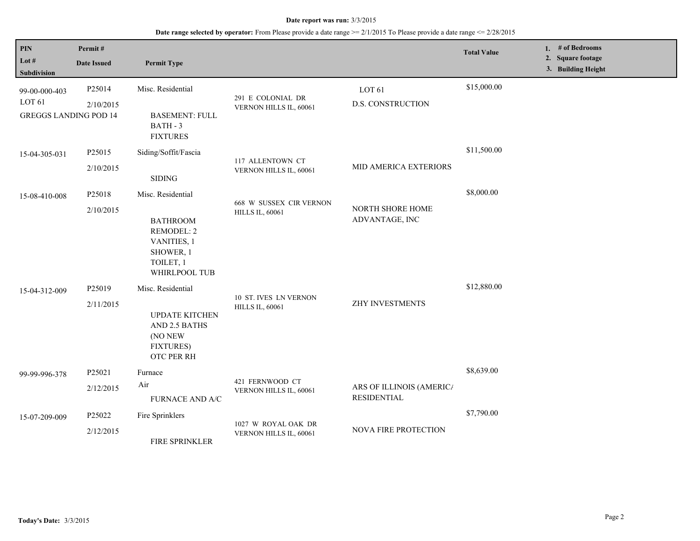#### **Date report was run:** 3/3/2015

## **Date range selected by operator:** From Please provide a date range >= 2/1/2015 To Please provide a date range <= 2/28/2015

| PIN<br>Lot $#$<br><b>Subdivision</b>                               | Permit#<br><b>Date Issued</b>              | <b>Permit Type</b>                                                                                                                                                                     |                                                                                                      |                                                       | <b>Total Value</b>        | 1. $#$ of Bedrooms<br>2. Square footage<br>3. Building Height |
|--------------------------------------------------------------------|--------------------------------------------|----------------------------------------------------------------------------------------------------------------------------------------------------------------------------------------|------------------------------------------------------------------------------------------------------|-------------------------------------------------------|---------------------------|---------------------------------------------------------------|
| 99-00-000-403<br>LOT <sub>61</sub><br><b>GREGGS LANDING POD 14</b> | P25014<br>2/10/2015                        | Misc. Residential<br><b>BASEMENT: FULL</b><br>BATH - 3<br><b>FIXTURES</b>                                                                                                              | 291 E COLONIAL DR<br>VERNON HILLS IL, 60061                                                          | LOT <sub>61</sub><br><b>D.S. CONSTRUCTION</b>         | \$15,000.00               |                                                               |
| 15-04-305-031                                                      | P25015<br>2/10/2015                        | Siding/Soffit/Fascia<br><b>SIDING</b>                                                                                                                                                  | 117 ALLENTOWN CT<br>VERNON HILLS IL, 60061                                                           | MID AMERICA EXTERIORS                                 | \$11,500.00               |                                                               |
| 15-08-410-008<br>15-04-312-009                                     | P25018<br>2/10/2015<br>P25019<br>2/11/2015 | Misc. Residential<br><b>BATHROOM</b><br>REMODEL: 2<br>VANITIES, 1<br>SHOWER, 1<br>TOILET, 1<br>WHIRLPOOL TUB<br>Misc. Residential<br><b>UPDATE KITCHEN</b><br>AND 2.5 BATHS<br>(NO NEW | 668 W SUSSEX CIR VERNON<br><b>HILLS IL, 60061</b><br>10 ST. IVES LN VERNON<br><b>HILLS IL, 60061</b> | NORTH SHORE HOME<br>ADVANTAGE, INC<br>ZHY INVESTMENTS | \$8,000.00<br>\$12,880.00 |                                                               |
| 99-99-996-378                                                      | P25021<br>2/12/2015<br>P25022              | <b>FIXTURES)</b><br><b>OTC PER RH</b><br>Furnace<br>Air<br><b>FURNACE AND A/C</b><br>Fire Sprinklers                                                                                   | 421 FERNWOOD CT<br>VERNON HILLS IL, 60061                                                            | ARS OF ILLINOIS (AMERIC/<br><b>RESIDENTIAL</b>        | \$8,639.00<br>\$7,790.00  |                                                               |
| 15-07-209-009                                                      | 2/12/2015                                  | FIRE SPRINKLER                                                                                                                                                                         | 1027 W ROYAL OAK DR<br>VERNON HILLS IL, 60061                                                        | NOVA FIRE PROTECTION                                  |                           |                                                               |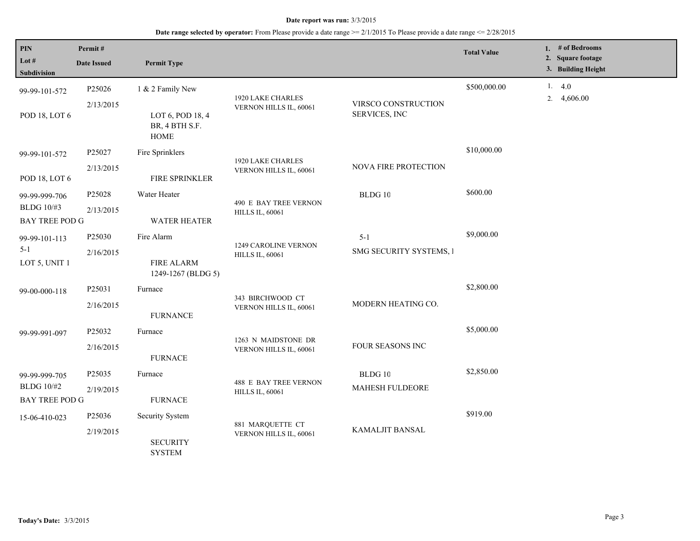#### **Date report was run:** 3/3/2015

## **Date range selected by operator:** From Please provide a date range >= 2/1/2015 To Please provide a date range <= 2/28/2015

| <b>PIN</b><br>Lot $#$                                | Permit#<br><b>Date Issued</b>                 | <b>Permit Type</b>                                            |                                                 |                                      | <b>Total Value</b> |  |    | 1. # of Bedrooms<br>2. Square footage |
|------------------------------------------------------|-----------------------------------------------|---------------------------------------------------------------|-------------------------------------------------|--------------------------------------|--------------------|--|----|---------------------------------------|
| <b>Subdivision</b>                                   |                                               |                                                               |                                                 |                                      |                    |  |    | 3. Building Height                    |
| 99-99-101-572                                        | P25026                                        | 1 & 2 Family New                                              | 1920 LAKE CHARLES                               |                                      | \$500,000.00       |  | 2. | 1.4.0<br>4,606.00                     |
| POD 18, LOT 6                                        | 2/13/2015                                     | LOT 6, POD 18, 4<br>BR, 4 BTH S.F.<br><b>HOME</b>             | VERNON HILLS IL, 60061                          | VIRSCO CONSTRUCTION<br>SERVICES, INC |                    |  |    |                                       |
| 99-99-101-572                                        | P25027                                        | Fire Sprinklers                                               | 1920 LAKE CHARLES<br>VERNON HILLS IL, 60061     |                                      | \$10,000.00        |  |    |                                       |
| POD 18, LOT 6                                        | 2/13/2015                                     | FIRE SPRINKLER                                                |                                                 | NOVA FIRE PROTECTION                 |                    |  |    |                                       |
| 99-99-999-706<br>BLDG 10/#3<br><b>BAY TREE POD G</b> | P25028                                        | Water Heater                                                  | 490 E BAY TREE VERNON<br><b>HILLS IL, 60061</b> | BLDG 10                              | \$600.00           |  |    |                                       |
|                                                      | 2/13/2015                                     | <b>WATER HEATER</b>                                           |                                                 |                                      |                    |  |    |                                       |
| 99-99-101-113<br>$5-1$<br>LOT 5, UNIT 1              | P25030                                        | Fire Alarm                                                    | 1249 CAROLINE VERNON<br><b>HILLS IL, 60061</b>  | $5 - 1$                              | \$9,000.00         |  |    |                                       |
|                                                      | 2/16/2015                                     | <b>FIRE ALARM</b><br>1249-1267 (BLDG 5)                       |                                                 | SMG SECURITY SYSTEMS, I              |                    |  |    |                                       |
| 99-00-000-118                                        | P25031                                        | Furnace                                                       | 343 BIRCHWOOD CT<br>VERNON HILLS IL, 60061      |                                      | \$2,800.00         |  |    |                                       |
|                                                      | 2/16/2015                                     | <b>FURNANCE</b>                                               |                                                 | MODERN HEATING CO.                   |                    |  |    |                                       |
| 99-99-991-097                                        | P25032                                        | Furnace                                                       | 1263 N MAIDSTONE DR<br>VERNON HILLS IL, 60061   | FOUR SEASONS INC                     | \$5,000.00         |  |    |                                       |
|                                                      | 2/16/2015                                     | <b>FURNACE</b>                                                |                                                 |                                      |                    |  |    |                                       |
| 99-99-999-705                                        | P25035                                        | Furnace                                                       | <b>488 E BAY TREE VERNON</b>                    | BLDG 10                              | \$2,850.00         |  |    |                                       |
| <b>BLDG</b> 10/#2<br><b>BAY TREE POD G</b>           | 2/19/2015                                     | <b>FURNACE</b>                                                | <b>HILLS IL, 60061</b>                          | MAHESH FULDEORE                      |                    |  |    |                                       |
| 15-06-410-023                                        | P25036                                        | Security System                                               |                                                 |                                      | \$919.00           |  |    |                                       |
|                                                      | 2/19/2015<br><b>SECURITY</b><br><b>SYSTEM</b> | 881 MARQUETTE CT<br>KAMALJIT BANSAL<br>VERNON HILLS IL, 60061 |                                                 |                                      |                    |  |    |                                       |